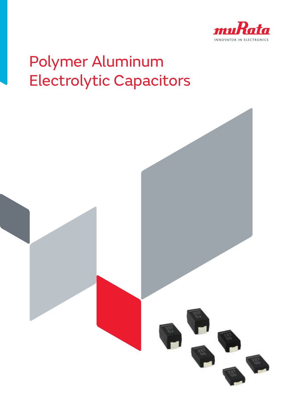

# Polymer Aluminum Electrolytic Capacitors

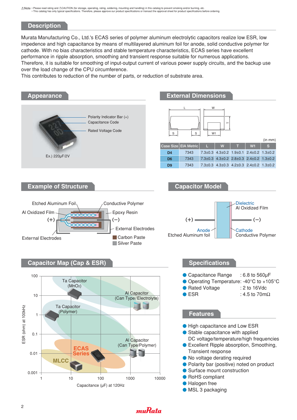### **Description**

Murata Manufacturing Co., Ltd.'s ECAS series of polymer aluminum electrolytic capacitors realize low ESR, low impedence and high capacitance by means of multilayered aluminum foil for anode, solid conductive polymer for cathode. With no bias characteristics and stable temperature characteristics, ECAS series have excellent performance in ripple absorption, smoothing and transient response suitable for numerous applications. Therefore, it is suitable for smoothing of input-output current of various power supply circuits, and the backup use over the load change of the CPU circumference.

This contributes to reduction of the number of parts, or reduction of substrate area.



### muRata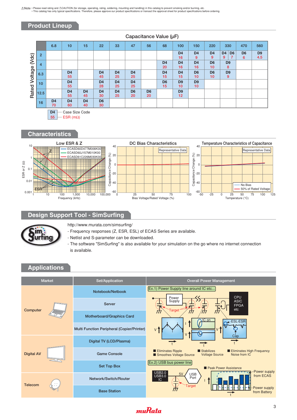### **Product Lineup**

|               |                  | 6.8                  | 10                   | 15                   | 22                   | 33                   | 47                   | 56                   | 68                   | 100                               | 150                  | 220                               | 330                                                     | 470                 | 560                   |
|---------------|------------------|----------------------|----------------------|----------------------|----------------------|----------------------|----------------------|----------------------|----------------------|-----------------------------------|----------------------|-----------------------------------|---------------------------------------------------------|---------------------|-----------------------|
| (Vdc)         | $\overline{2}$   |                      |                      |                      |                      |                      |                      |                      |                      | D <sub>4</sub><br>16              | D <sub>4</sub><br>9  | D <sub>4</sub><br>9               | D <sub>6</sub><br>D <sub>4</sub><br>$\overline{7}$<br>9 | D <sub>6</sub><br>6 | D <sub>9</sub><br>4.5 |
|               | $\overline{4}$   |                      |                      |                      |                      |                      |                      |                      | D <sub>4</sub><br>20 | D <sub>4</sub><br>16              | D <sub>4</sub><br>16 | D <sub>6</sub><br>10 <sup>1</sup> | D <sub>9</sub><br>8                                     |                     |                       |
| Rated Voltage | 6.3              |                      | D <sub>4</sub><br>55 |                      | D <sub>4</sub><br>45 | D <sub>4</sub><br>25 | D <sub>4</sub><br>25 |                      | D <sub>4</sub><br>15 | D <sub>4</sub><br>15              | D <sub>6</sub><br>10 | D <sub>6</sub><br>10 <sup>1</sup> | D <sub>9</sub><br>9                                     |                     |                       |
|               | 10 <sup>10</sup> |                      | D <sub>4</sub><br>55 |                      | D <sub>4</sub><br>28 | D <sub>4</sub><br>25 | D <sub>4</sub><br>25 |                      | D <sub>6</sub><br>15 | D <sub>9</sub><br>10              | D <sub>9</sub><br>10 |                                   |                                                         |                     |                       |
|               | 12.5             |                      | D <sub>4</sub><br>55 | D <sub>4</sub><br>45 | D <sub>4</sub><br>30 | D <sub>4</sub><br>25 | D <sub>6</sub><br>20 | D <sub>6</sub><br>20 |                      | D <sub>9</sub><br>12 <sup>2</sup> |                      |                                   |                                                         |                     |                       |
|               | 16               | D <sub>4</sub><br>70 | D <sub>4</sub><br>60 | D <sub>4</sub><br>40 | D <sub>6</sub><br>30 |                      |                      |                      |                      |                                   |                      |                                   |                                                         |                     |                       |
|               | $\Gamma$         |                      |                      |                      |                      |                      |                      |                      |                      |                                   |                      |                                   |                                                         |                     |                       |

### **Capacitance Value (μF)**

**D4** Case Size Code

**55**  $-$  ESR (m $\Omega$ )



### **Design Support Tool - SimSurfing**

![](_page_2_Picture_8.jpeg)

http://www.murata.com/simsurfing/

- Frequency responses (Z, ESR, ESL) of ECAS Series are available.

- Netlist and S-parameter can be downloaded.

- The software "SimSurfing" is also available for your simulation on the go where no internet connection is available.

### **Applications**

![](_page_2_Figure_14.jpeg)

### muRata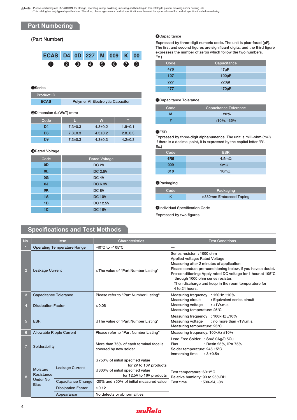Note · Please read rating and ACAUTION (for storage, operating, rating, soldering, mounting and handling) in this catalog to prevent smoking and/or burning, etc.<br>This catalog has only typical specifications. Therefore, ple

### **Part Numbering**

| ECAS D4 0D 227 M 009 K 00 |  |  |                             |  |
|---------------------------|--|--|-----------------------------|--|
|                           |  |  | $0 \t0 \t0 \t0 \t0 \t0 \t0$ |  |

### **O**Series

**ECAS Polymer AI Electrolytic Capacitor Product ID**

### **@Dimension (LxWxT) (mm)**

| Code           |               | w             |               |
|----------------|---------------|---------------|---------------|
| D <sub>4</sub> | $7.3 \pm 0.3$ | $4.3 \pm 0.2$ | $1.9 + 0.1$   |
| D <sub>6</sub> | $7.3 \pm 0.3$ | $4.3 \pm 0.2$ | $2.8 \pm 0.3$ |
| D <sub>9</sub> | $7.3 \pm 0.3$ | $4.3 \pm 0.3$ | $4.2 \pm 0.3$ |

### **@Rated Voltage**

| Code           | <b>Rated Voltage</b> |
|----------------|----------------------|
| 0D             | <b>DC 2V</b>         |
| 0E             | <b>DC 2.5V</b>       |
| 0G             | DC <sub>4V</sub>     |
| 0J             | <b>DC 6.3V</b>       |
| 0K             | DC <sub>8V</sub>     |
| 1A             | <b>DC 10V</b>        |
| 1B             | <b>DC 12.5V</b>      |
| 1 <sub>C</sub> | <b>DC 16V</b>        |

### **<sup>O</sup>Capacitance**

**(Part Number) Expressed by three-digit numeric code. The unit is pico-farad (pF). The first and second figures are significant digits, and the third figure expresses the number of zeros which follow the two numbers. Ex.)**

| Code | Capacitance        |
|------|--------------------|
| 476  | $47\mu F$          |
| 107  | $100\mu F$         |
| 227  | $220\mu F$         |
| 477  | 470 <sub>u</sub> F |

### **O**Capacitance Tolerance

| Code | Capacitance Tolerance |
|------|-----------------------|
| М    | ±20%                  |
|      | $+10\%$ , $-35\%$     |

#### **@ESR**

**Expressed by three-digit alphanumerics. The unit is milli-ohm (m**Ω**). If there is a decimal point, it is expressed by the capital letter "R". Ex.)**

| <b>ESR</b>    |
|---------------|
| 4.5m $\Omega$ |
| $9m\Omega$    |
| $10m\Omega$   |
|               |

#### **O**Packaging

| Code | Packaging              |
|------|------------------------|
|      | ø330mm Embossed Taping |

#### **Ondividual Specification Code**

**Expressed by two figures.**

### **Specifications and Test Methods**

| No.            |                                | <b>Item</b>                        | <b>Characteristics</b>                                                                                                                  | <b>Test Conditions</b>                                                                                                                                                                                                                                                                                                                                |  |  |  |
|----------------|--------------------------------|------------------------------------|-----------------------------------------------------------------------------------------------------------------------------------------|-------------------------------------------------------------------------------------------------------------------------------------------------------------------------------------------------------------------------------------------------------------------------------------------------------------------------------------------------------|--|--|--|
|                |                                | <b>Operating Temperature Range</b> | -40 $^{\circ}$ C to +105 $^{\circ}$ C                                                                                                   |                                                                                                                                                                                                                                                                                                                                                       |  |  |  |
| $\overline{2}$ | <b>Leakage Current</b>         |                                    | $\le$ The value of "Part Number Listing"                                                                                                | Series resistor : 1000 ohm<br>Applied voltage: Rated Voltage<br>Measuring after 2 minutes of application<br>Please conduct pre-conditioning below, if you have a doubt.<br>Pre-conditioning: Apply rated DC voltage for 1 hour at 105°C<br>through 1000 ohm series resistor.<br>Then discharge and keep in the room temperature for<br>4 to 24 hours. |  |  |  |
| 3              | <b>Capacitance Tolerance</b>   |                                    | Please refer to "Part Number Listing"                                                                                                   | Measuring frequency : 120Hz ±10%                                                                                                                                                                                                                                                                                                                      |  |  |  |
| 4              | <b>Dissipation Factor</b>      |                                    | $≤0.06$                                                                                                                                 | Measuring circuit<br>: Equivalent series circuit<br>Measuring voltage<br>$: +1Vr.m.s.$<br>Measuring temperature: 25°C                                                                                                                                                                                                                                 |  |  |  |
| 5              | <b>ESR</b>                     |                                    | $\le$ The value of "Part Number Listing"                                                                                                | Measuring frequency : 100kHz ±10%<br>Measuring voltage<br>: no more than $+1Vr.m.s.$<br>Measuring temperature: 25°C                                                                                                                                                                                                                                   |  |  |  |
| 6              |                                | <b>Allowable Ripple Current</b>    | Please refer to "Part Number Listing"                                                                                                   | Measuring frequency: 100kHz ±10%                                                                                                                                                                                                                                                                                                                      |  |  |  |
| $\overline{7}$ | Solderability                  |                                    | More than 75% of each terminal face is<br>covered by new solder                                                                         | Lead Free Solder : Sn/3.0Ag/0.5Cu<br>: Rosin 25%, IPA 75%<br><b>Flux</b><br>Solder temperature: 245 ±5°C<br>Immersing time<br>$:3 + 0.5s$                                                                                                                                                                                                             |  |  |  |
| 8              | Moisture<br>Resistance         | <b>Leakage Current</b>             | $\leq$ 750% of initial specified value<br>for 2V to 10V products<br>$\leq$ 300% of initial specified value<br>for 12.5V to 16V products | Test temperature: 60±2°C<br>Relative humidity: 90 to 95%RH                                                                                                                                                                                                                                                                                            |  |  |  |
|                | <b>Under No</b><br><b>Bias</b> | <b>Capacitance Change</b>          | -20% and +50% of initial measured value                                                                                                 | Test time<br>$:500+24, -0h$                                                                                                                                                                                                                                                                                                                           |  |  |  |
|                |                                | <b>Dissipation Factor</b>          | $≤0.12$                                                                                                                                 |                                                                                                                                                                                                                                                                                                                                                       |  |  |  |
|                |                                | Appearance                         | No defects or abnormalities                                                                                                             |                                                                                                                                                                                                                                                                                                                                                       |  |  |  |

![](_page_3_Picture_24.jpeg)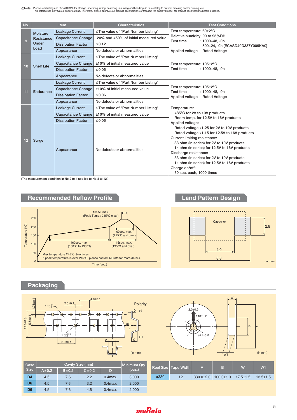Note · Please read rating and ACAUTION (for storage, operating, rating, soldering, mounting and handling) in this catalog to prevent smoking and/or burning, etc.<br>This catalog has only typical specifications. Therefore, ple

| No. |                   | <b>Item</b>               | <b>Characteristics</b>                   | <b>Test Conditions</b>                                                                                                                                                                                                                                                                           |  |  |  |
|-----|-------------------|---------------------------|------------------------------------------|--------------------------------------------------------------------------------------------------------------------------------------------------------------------------------------------------------------------------------------------------------------------------------------------------|--|--|--|
|     | Moisture          | <b>Leakage Current</b>    | $\le$ The value of "Part Number Listing" | Test temperature: 60±2°C                                                                                                                                                                                                                                                                         |  |  |  |
| 9   | Resistance        | <b>Capacitance Change</b> | -20% and +50% of initial measured value  | Relative humidity: 90 to 95%RH                                                                                                                                                                                                                                                                   |  |  |  |
|     | Under             | <b>Dissipation Factor</b> | $≤0.12$                                  | Test time<br>$: 1000 + 48, -0h$<br>500+24, -0h (ECASD40D337Y009KA0)                                                                                                                                                                                                                              |  |  |  |
|     | Load              | Appearance                | No defects or abnormalities              | Applied voltage: Rated Voltage                                                                                                                                                                                                                                                                   |  |  |  |
|     |                   | <b>Leakage Current</b>    | $\le$ The value of "Part Number Listing" |                                                                                                                                                                                                                                                                                                  |  |  |  |
|     |                   | <b>Capacitance Change</b> | ±10% of initial measured value           | Test temperature: 105±2°C                                                                                                                                                                                                                                                                        |  |  |  |
| 10  | <b>Shelf Life</b> | <b>Dissipation Factor</b> | ≤0.06                                    | Test time<br>$: 1000 + 48, -0h$                                                                                                                                                                                                                                                                  |  |  |  |
|     |                   | Appearance                | No defects or abnormalities              |                                                                                                                                                                                                                                                                                                  |  |  |  |
|     |                   | <b>Leakage Current</b>    | ≦The value of "Part Number Listing"      | Test temperature: 105±2°C                                                                                                                                                                                                                                                                        |  |  |  |
|     | Endurance         | <b>Capacitance Change</b> | ±10% of initial measured value           |                                                                                                                                                                                                                                                                                                  |  |  |  |
| 11  |                   | <b>Dissipation Factor</b> | ≤0.06                                    |                                                                                                                                                                                                                                                                                                  |  |  |  |
|     |                   | Appearance                | No defects or abnormalities              | $: 1000 + 48. -0h$<br>$+85^{\circ}$ C for 2V to 10V products<br>Room temp. for 12.5V to 16V products<br>Rated voltage x1.25 for 2V to 10V products<br>Rated voltage x1.15 for 12.5V to 16V products<br>33 ohm (in series) for 2V to 10V products<br>1k ohm (in series) for 12.5V to 16V products |  |  |  |
|     |                   | <b>Leakage Current</b>    | $\le$ The value of "Part Number Listing" | Test time<br>Applied voltage: Rated Voltage<br>Temperature:<br>Applied voltage:                                                                                                                                                                                                                  |  |  |  |
|     |                   | <b>Capacitance Change</b> | ±10% of initial measured value           |                                                                                                                                                                                                                                                                                                  |  |  |  |
|     |                   | <b>Dissipation Factor</b> | ≤0.06                                    |                                                                                                                                                                                                                                                                                                  |  |  |  |
| 12  | Surge             | Appearance                | No defects or abnormalities              | Current limiting resistance:<br>Discharge resistance:<br>33 ohm (in series) for 2V to 10V products<br>1k ohm (in series) for 12.5V to 16V products<br>Charge on/off:<br>30 sec. each, 1000 times                                                                                                 |  |  |  |

**(The measurement condition in No.2 to 4 applies to No.8 to 12.)**

![](_page_4_Figure_3.jpeg)

### **Packaging**

![](_page_4_Figure_5.jpeg)

| W<br>$2.0 + 0.5$<br>uП<br>ø13±0.2 | $\bf{m}$<br>$\prec$ |
|-----------------------------------|---------------------|
| ø21±0.8<br>W <sub>1</sub>         | (in mm)             |

| Case<br>Size   | Cavity Size (mm) |             |             |            | Minimum Qty. |      | Reel Size Tape Width |                 | в               | W              | W <sub>1</sub> |
|----------------|------------------|-------------|-------------|------------|--------------|------|----------------------|-----------------|-----------------|----------------|----------------|
|                | $A \pm 0.2$      | $B \pm 0.2$ | $C \pm 0.2$ | D          | (pcs.)       |      |                      | A               |                 |                |                |
| D <sub>4</sub> | 4.5              | 7.6         | 2.2         | $0.4$ max. | 3,000        | ø330 | 12                   | $330.0 \pm 2.0$ | $100.0 \pm 1.0$ | $17.5 \pm 1.5$ | $13.5 \pm 1.5$ |
| D <sub>6</sub> | 4.5              | 7.6         | 3.2         | $0.4$ max. | 2,500        |      |                      |                 |                 |                |                |
| D <sub>9</sub> | 4.5              | 7.6         | 4.6         | $0.4$ max. | 2,000        |      |                      |                 |                 |                |                |

## *muRata*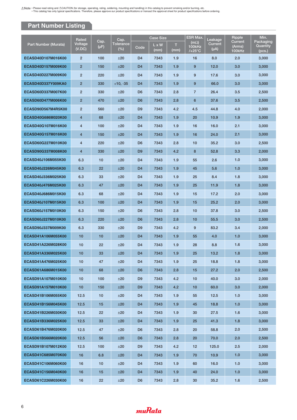Note · Please read rating and ACAUTION (for storage, operating, rating, soldering, mounting and handling) in this catalog to prevent smoking and/or burning, etc.<br>This catalog has only typical specifications. Therefore, ple

### **Part Number Listing**

|                             | Rated             | Cap.      | Cap.                | <b>Case Size</b> |               |           | ESR Max.                                           | Leakage              | Ripple                      | Min.                            |
|-----------------------------|-------------------|-----------|---------------------|------------------|---------------|-----------|----------------------------------------------------|----------------------|-----------------------------|---------------------------------|
| <b>Part Number (Murata)</b> | Voltage<br>(V.DC) | $(\mu F)$ | Tolerance<br>$(\%)$ | Code             | L x W<br>(mm) | т<br>(mm) | (m $\Omega$ )<br><b>100kHz</b><br>$/+25^{\circ}$ C | Current<br>$(\mu A)$ | Current<br>(Arms)<br>100kHz | Packaging<br>Quantity<br>(pcs.) |
| ECASD40D107M016K00          | $\overline{2}$    | 100       | ±20                 | D <sub>4</sub>   | 7343          | 1.9       | 16                                                 | 8.0                  | 2.0                         | 3,000                           |
| ECASD40D157M009K00          | $\overline{2}$    | 150       | ±20                 | D <sub>4</sub>   | 7343          | 1.9       | 9                                                  | 12.0                 | 3.0                         | 3,000                           |
| ECASD40D227M009K00          | $\overline{2}$    | 220       | ±20                 | D <sub>4</sub>   | 7343          | 1.9       | 9                                                  | 17.6                 | 3.0                         | 3,000                           |
| ECASD40D337Y009KA0          | $\overline{2}$    | 330       | $+10, -35$          | D <sub>4</sub>   | 7343          | 1.9       | 9                                                  | 66.0                 | 3.0                         | 3,000                           |
| ECASD60D337M007K00          | $\overline{2}$    | 330       | ±20                 | D <sub>6</sub>   | 7343          | 2.8       | $\overline{7}$                                     | 26.4                 | 3.5                         | 2,500                           |
| ECASD60D477M006K00          | $\overline{c}$    | 470       | ±20                 | D <sub>6</sub>   | 7343          | 2.8       | 6                                                  | 37.6                 | 3.5                         | 2,500                           |
| ECASD90D567M4R5K00          | $\overline{2}$    | 560       | ±20                 | D <sub>9</sub>   | 7343          | 4.2       | 4.5                                                | 44.8                 | 4.0                         | 2,000                           |
| ECASD40G686M020K00          | 4                 | 68        | ±20                 | D <sub>4</sub>   | 7343          | 1.9       | 20                                                 | 10.9                 | 1.9                         | 3,000                           |
| ECASD40G107M016K00          | 4                 | 100       | ±20                 | D <sub>4</sub>   | 7343          | 1.9       | 16                                                 | 16.0                 | 2.1                         | 3,000                           |
| ECASD40G157M016K00          | 4                 | 150       | ±20                 | D <sub>4</sub>   | 7343          | 1.9       | 16                                                 | 24.0                 | 2.1                         | 3,000                           |
| ECASD60G227M010K00          | 4                 | 220       | ±20                 | D <sub>6</sub>   | 7343          | 2.8       | 10                                                 | 35.2                 | 3.0                         | 2,500                           |
| ECASD90G337M008K00          | 4                 | 330       | ±20                 | D <sub>9</sub>   | 7343          | 4.2       | 8                                                  | 52.8                 | 3.3                         | 2,000                           |
| ECASD40J106M055K00          | 6.3               | 10        | ±20                 | D <sub>4</sub>   | 7343          | 1.9       | 55                                                 | 2.6                  | 1.0                         | 3,000                           |
| ECASD40J226M045K00          | 6.3               | 22        | ±20                 | D <sub>4</sub>   | 7343          | 1.9       | 45                                                 | 5.6                  | 1.0                         | 3,000                           |
| ECASD40J336M025K00          | 6.3               | 33        | ±20                 | D <sub>4</sub>   | 7343          | 1.9       | 25                                                 | 8.4                  | 1.8                         | 3,000                           |
| ECASD40J476M025K00          | 6.3               | 47        | ±20                 | D4               | 7343          | 1.9       | 25                                                 | 11.9                 | 1.8                         | 3,000                           |
| ECASD40J686M015K00          | 6.3               | 68        | ±20                 | D <sub>4</sub>   | 7343          | 1.9       | 15                                                 | 17.2                 | 2.0                         | 3,000                           |
| ECASD40J107M015K00          | 6.3               | 100       | ±20                 | D <sub>4</sub>   | 7343          | 1.9       | 15                                                 | 25.2                 | 2.0                         | 3,000                           |
| ECASD60J157M010K00          | 6.3               | 150       | ±20                 | D <sub>6</sub>   | 7343          | 2.8       | 10                                                 | 37.8                 | 3.0                         | 2,500                           |
| ECASD60J227M010K00          | 6.3               | 220       | ±20                 | D <sub>6</sub>   | 7343          | 2.8       | 10                                                 | 55.5                 | 3.0                         | 2,500                           |
| ECASD90J337M009K00          | 6.3               | 330       | ±20                 | D <sub>9</sub>   | 7343          | 4.2       | 9                                                  | 83.2                 | 3.4                         | 2,000                           |
| ECASD41A106M055K00          | 10                | 10        | ±20                 | D <sub>4</sub>   | 7343          | 1.9       | 55                                                 | 4.0                  | 1.0                         | 3,000                           |
| ECASD41A226M028K00          | 10                | 22        | ±20                 | D <sub>4</sub>   | 7343          | 1.9       | 28                                                 | 8.8                  | 1.6                         | 3,000                           |
| ECASD41A336M025K00          | 10                | 33        | ±20                 | D <sub>4</sub>   | 7343          | 1.9       | 25                                                 | 13.2                 | 1.8                         | 3,000                           |
| ECASD41A476M025K00          | 10                | 47        | ±20                 | D4               | 7343          | 1.9       | 25                                                 | 18.8                 | 1.8                         | 3,000                           |
| ECASD61A686M015K00          | 10                | 68        | ±20                 | D <sub>6</sub>   | 7343          | 2.8       | 15                                                 | 27.2                 | 2.0                         | 2,500                           |
| ECASD91A107M010K00          | 10                | 100       | ±20                 | D <sub>9</sub>   | 7343          | 4.2       | 10                                                 | 40.0                 | 3.0                         | 2,000                           |
| ECASD91A157M010K00          | 10                | 150       | ±20                 | D <sub>9</sub>   | 7343          | 4.2       | 10                                                 | 60.0                 | 3.0                         | 2,000                           |
| ECASD41B106M055K00          | 12.5              | 10        | ±20                 | D <sub>4</sub>   | 7343          | 1.9       | 55                                                 | 12.5                 | 1.0                         | 3,000                           |
| ECASD41B156M045K00          | 12.5              | 15        | ±20                 | D <sub>4</sub>   | 7343          | 1.9       | 45                                                 | 18.8                 | 1.0                         | 3,000                           |
| ECASD41B226M030K00          | 12.5              | 22        | ±20                 | D <sub>4</sub>   | 7343          | 1.9       | 30                                                 | 27.5                 | 1.6                         | 3,000                           |
| ECASD41B336M025K00          | 12.5              | 33        | ±20                 | D <sub>4</sub>   | 7343          | 1.9       | 25                                                 | 41.3                 | 1.8                         | 3,000                           |
| ECASD61B476M020K00          | 12.5              | 47        | ±20                 | D <sub>6</sub>   | 7343          | 2.8       | 20                                                 | 58.8                 | 2.0                         | 2,500                           |
| ECASD61B566M020K00          | 12.5              | 56        | ±20                 | D <sub>6</sub>   | 7343          | 2.8       | 20                                                 | 70.0                 | 2.0                         | 2,500                           |
| ECASD91B107M012K00          | 12.5              | 100       | ±20                 | D <sub>9</sub>   | 7343          | 4.2       | 12                                                 | 125.0                | 2.5                         | 2,000                           |
| ECASD41C685M070K00          | 16                | 6.8       | ±20                 | D <sub>4</sub>   | 7343          | 1.9       | 70                                                 | 10.9                 | 1.0                         | 3,000                           |
| ECASD41C106M060K00          | 16                | 10        | ±20                 | D <sub>4</sub>   | 7343          | 1.9       | 60                                                 | 16.0                 | 1.0                         | 3,000                           |
| ECASD41C156M040K00          | 16                | 15        | ±20                 | D <sub>4</sub>   | 7343          | 1.9       | 40                                                 | 24.0                 | 1.0                         | 3,000                           |
| ECASD61C226M030K00          | 16                | 22        | ±20                 | D <sub>6</sub>   | 7343          | 2.8       | 30                                                 | 35.2                 | 1.6                         | 2,500                           |

muRata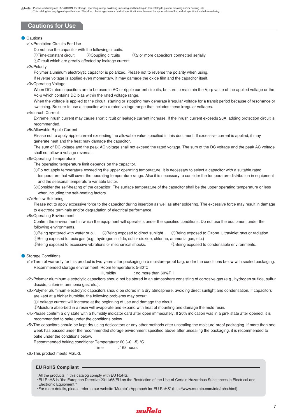### **Cautions for Use**

### ● Cautions

<1>Prohibited Circuits For Use

Do not use the capacitor with the following circuits.

- ①Time-constant circuit @Coupling circuits @2 or more capacitors connected serially
- 4 Circuit which are greatly affected by leakage current
- <2>Polarity

Polymer aluminum electrolytic capacitor is polarized. Please not to reverse the polarity when using.

If reverse voltage is applied even momentary, it may damage the oxide film and the capacitor itself.

### <3>Operating Voltage

When DC-rated capacitors are to be used in AC or ripple current circuits, be sure to maintain the Vp-p value of the applied voltage or the Vo-p which contains DC bias within the rated voltage range.

When the voltage is applied to the circuit, starting or stopping may generate irregular voltage for a transit period because of resonance or switching. Be sure to use a capacitor with a rated voltage range that includes these irregular voltages.

#### <4>Inrush Current

Extreme inrush current may cause short circuit or leakage current increase. If the inrush current exceeds 20A, adding protection circuit is recommended.

#### <5>Allowable Ripple Current

Please not to apply ripple current exceeding the allowable value specified in this document. If excessive current is applied, it may generate heat and the heat may damage the capacitor.

The sum of DC voltage and the peak AC voltage shall not exceed the rated voltage. The sum of the DC voltage and the peak AC voltage shall not allow a voltage reversal.

<6>Operating Temperature

The operating temperature limit depends on the capacitor.

- qDo not apply temperature exceeding the upper operating temperature. It is necessary to select a capacitor with a suitable rated temperature that will cover the operating temperature range. Also it is necessary to consider the temperature distribution in equipment and the seasonal temperature variable factor.
- @Consider the self-heating of the capacitor. The surface temperature of the capacitor shall be the upper operating temperature or less when including the self-heating factors.

#### <7>Reflow Soldering

Please not to apply excessive force to the capacitor during insertion as well as after soldering. The excessive force may result in damage to electrode terminals and/or degradation of electrical performance.

<8>Operating Environment

Confirm the environment in which the equipment will operate is under the specified conditions. Do not use the equipment under the following environments.

DBeing spattered with water or oil. @Being exposed to direct sunlight. @Being exposed to Ozone, ultraviolet rays or radiation. rBeing exposed to toxic gas (e.g., hydrogen sulfide, sulfur dioxide, chlorine, ammonia gas, etc.)

**E**Being exposed to excessive vibrations or mechanical shocks.  $\bullet$  **Being exposed to condensable environments.** 

● Storage Conditions

<1>Term of warranty for this product is two years after packaging in a moisture-proof bag, under the conditions below with sealed packaging. Recommended storage environment: Room temperature: 5-30°C

#### Humidity : no more than 60%RH

- <2>Polymer aluminum electrolytic capacitors should not be stored in an atmosphere consisting of corrosive gas (e.g., hydrogen sulfide, sulfur dioxide, chlorine, ammonia gas, etc.).
- <3>Polymer aluminum electrolytic capacitors should be stored in a dry atmosphere, avoiding direct sunlight and condensation. If capacitors are kept at a higher humidity, the following problems may occur:

qLeakage current will increase at the beginning of use and damage the circuit.

@Moisture absorbed in a resin will evaporate and expand with heat of mounting and damage the mold resin.

- <4>Please confirm a dry state with a humidity indicator card after open immediately. If 20% indication was in a pink state after opened, it is recommended to bake under the conditions below.
- <5>The capacitors should be kept dry using desiccators or any other methods after unsealing the moisture-proof packaging. If more than one week has passed under the recommended storage environment specified above after unsealing the packaging, it is recommended to bake under the conditions below.

Recommended baking conditions: Temperature: 60 (+0, -5) °C

Time : 168 hours

<6>This product meets MSL-3.

### **EU RoHS Compliant**

- $\cdot$  All the products in this catalog comply with EU RoHS.
- sEU RoHS is "the European Directive 2011/65/EU on the Restriction of the Use of Certain Hazardous Substances in Electrical and Electronic Equipment."
- sFor more details, please refer to our website 'Murata's Approach for EU RoHS' (http://www.murata.com/info/rohs.html).

![](_page_6_Picture_44.jpeg)